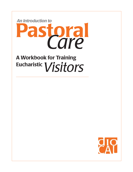

# A Workbook for Training Eucharistic *Visitors*

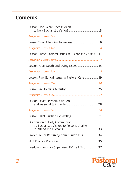## **Contents**

| Lesson One: What Does it Mean                                               |
|-----------------------------------------------------------------------------|
|                                                                             |
|                                                                             |
|                                                                             |
| Lesson Three: Pastoral Issues in Eucharistic Visiting 11                    |
|                                                                             |
|                                                                             |
|                                                                             |
| Lesson Five: Ethical Issues in Pastoral Care  19                            |
|                                                                             |
|                                                                             |
|                                                                             |
| Lesson Seven: Pastoral Care 28                                              |
|                                                                             |
|                                                                             |
| Distribution of Holy Communion<br>by Eucharistic Visitors to Persons Unable |
|                                                                             |
| Procedure for Returning Communion Kits34                                    |
|                                                                             |
| Feedback Form for Supervised EV Visit Two  37                               |

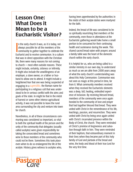## Lesson One: What Does it Mean to be a Eucharistic Visitor?

In the early church it was, as it is today, not<br>always possible for all the members of the<br>community to gather together to celebrate the<br>Eucharist and to receive communion. In a culture In the early church it was, as it is today, not always possible for all the members of the community to gather together to celebrate the that was in direct opposition with the Christian life, there were many reasons for not coming to church — most often outside reasons. These might include, certainly, sickness or infirmity. It might also include the unwillingness of an employer, a slave owner, or a father or husband to allow one to attend. It might include a heightened fear that one was being suspected of engaging in a *superstitio,* the Roman name for participating in a religious cult that was understood to be in serious conflict with the aims and goals of the state. In might be that in the midst of harvest or some other intense agricultural activity, it was not possible to leave the rural area surrounding the city and venture into town for church.

Nonetheless, in all of these circumstances communing was considered so important, so vital to both the spiritual health of the person and the unity of the community that delegates (usually called acolytes) were given responsibility for taking the consecrated bread and sometimes wine to those members of the community who could not be there. Sometimes this took place even when to do so endangered the life of the acolyte. History gives witness to acolytes who,

having been apprehended by the authorities in the midst of their acolyte duties were martyred for the faith.

Indeed, the bread of life was considered to be so spiritually nourishing that members of the community, even those in attendance at the Eucharistic gathering would take home a small portion to be consumed for their continuing health and sustenance during the week. This shared sacred bread eaten with prayers around a family table was the heart of the domestic church within the early church.

It is helpful for us, who are being called to a similar ministry in our own day, to understand as much as we are able from 2000 years away of what the early church's understanding was about this Holy Communion. Communion was not seen as magic at this period in time, far from it. What community members received when they received the Eucharistic elements was a deep, full, healing, embodied experience of inclusion. By receiving blessed bread, members of the community were once again bonded to the community of love and prayer that had together blessed that bread. They were united with Christ in the remembrance of his life, teachings, passion, and resurrection. They were united with Christ by being once again united with Christ's incarnated presence within the Body of Christ, the church. They were reminded of Christ's promise of forgiveness and salvation through faith in him. They were reminded of their baptism, that extraordinary moment in their lives when they became part of this holy family of God and partook of the bread and wine, the body and blood of their true Lord for the very first time.

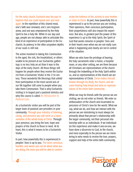#### For the early church, Eucharist was the part of baptism that one could repeat over and over

again. In the repetition of this shared meal, one's faith was renewed, one's sins forgiven anew, and one was empowered by the Holy Spirit to live a holy life. While in our day and age, people are not always able to articulate this kind of an experience of participation in the Eucharist; its potency in the often unspoken depths of our souls is still real.

The action involved in taking this Communion to the aged, the sick, the hospitalized, or others unable to be present at our Eucharistic gatherings is no less holy an act than it was in the days of the early church. All those things still happen for people when they receive the Eucharist from a Eucharistic Visitor in the 21st century. Those wonderful life blessings that unfold from participation in the most sacred acts of our life together still come to people when you take them Communion. That is why Eucharistic visiting is in largest part a pastoral ministry and why this course is called *An Introduction to Pastoral Care.*

As a Eucharistic visitor you will be part of the larger team of pastoral care providers in your community. Through your ministry of listening, caring, and presence you will serve as a representative of the whole body of Christ. Through your presence, you bring the love, hope and prayers of the church to those in need. At its heart, this is what it means to be a Eucharistic Visitor.

In part, how powerfully this is experienced in peoples' lives is up to you. The more conscious, humble, and aware you can be about what you are doing, the more you will be able to commu-

*4*

nicate the holiness of this activity to your brother or sister in Christ. In part, how powerfully this is experienced is up to the person you are visiting. Their openness, their conscious participation, their prayerfulness will also impact the experience. But also, in greatest part the power of this experience is up to the Holy Spirit, the Spirit of God that works miracles in peoples' lives and in their hearts even when we are not really sure what is happening and clearly are not in control of the situation.

When we who have the privilege of bearing the holy sacraments enter a home, a hospital room, or any other setting, we are there because all Christians are representatives of the church through the indwelling of the Holy Spirit within us, and as representatives of the church we are representatives of Christ. Christ makes himself known through his Body, the church, and we come bearing holy bread and wine as representatives of the entire faith community.

While we may be friends with the person we are visiting, we do not enter as friends. We enter as ambassadors of the church and incarnated expressions of Christ's love for the world. What we say, what we do, and how we interact with the person we are ministering to must always be primarily about that person's relationship with the larger community, not their personal relationship with us as individuals. If we individualize this experience and make it one-on-one, we have done a disservice to God, to the church, and most especially to the person we are ministering to who needs to receive the love, prayers, support and help of the entire faith community.

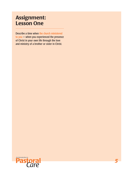## Assignment: Lesson One

Describe a time when the church ministered to you — when you experienced the presence of Christ in your own life through the love and ministry of a brother or sister in Christ.

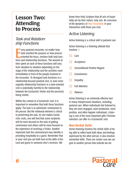## Lesson Two: Attending to Process

#### *Task and Relationship Functions*

**Example 12 Yery pastoral encounter, no matter how task oriented the purpose or how process or how process** or interestions and relationship functions. The amount of very pastoral encounter, no matter how task oriented the purpose or how process oriented the focus, involves both task functime spent on each of these functions will vary from situation to situation depending on the stage of the relationship and the activities most immediately in front of the people involved in the encounter. To disregard task functions in a relationship-focused pastoral visit, or even more urgently relationship functions in a task-oriented visit is potentially harmful to the relationship between the Eucharistic Visitor and the person(s) being visited.

Within the context of a Eucharistic visit, it is important to remember that both these functions apply. The task is to administer communion to the person. But the relational element is critical to performing the task. As one makes Eucharistic visits, one will find that some recipients will be more focused on the task of getting communion and others will be more focused on the experience of receiving a Visitor. Another important task the communicant may identify is providing hospitality to a guest. Remember that in your visit you are both host at the table of the Lord and guest in someone else's environs. We

know from Holy Scripture that all acts of hospitality are by their nature, holy acts. Be conscious of the dynamics of Holy Hospitality in your interactions with those you visit.

#### *Active Listening*

Active listening is a critical skill in pastoral care.

Active listening is a listening attitude that involves —

- Care
- Acceptance
- $\mathcal{H}$  Unconditional Positive Regard
- $\mathcal{R}$  Genuineness
- $\mathcal{R}$  Empathy
- $\mathcal{R}$  Full Attention
- $\mathcal{R}$  Patience

Active listening is an extremely effective tool in many interpersonal situations, including pastoral care. When individuals feel listened to, they are more engaged, more productive, more positive, and often happier individuals. Listening is one of the most important gifts Christian ministers can offer in a Eucharistic visit.

#### Non-Verbal Skills

Active listening involves the verbal skills of being able to reflect back both ideas and feelings expressed by the other person. It also involves nonverbal skills. There are certain cues we can give to another person that indicate we are

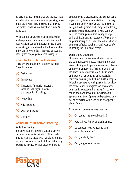actively engaged in what they are saying. These include facing the person who is speaking, looking at them when they are speaking, making eye contact, nodding in affirmation of what's being said.

While cultural differences make it impossible to always know if someone is listening or not, bodily actions can offer important cues. If you are working in a multi-cultural setting, it will be important for you to learn the cues for listening used by the people you are ministering to.

#### Roadblocks to Active Listening

There are also roadblocks to active listening. These include —

- $\mathcal{R}$  Distraction
- $\mathcal{R}$  Impatience
- $\mathcal{R}$  Rehearsing (mentally rehearsing what you will say next while the person is still talking)
- $\mathcal{R}$  Controlling
- $\mathcal{R}$  Advice giving
- $\mathcal{R}$  Over-identification
- $\mathcal{R}$  Boredom

#### Verbal Helps in Active Listening

#### Reflecting Feelings

In many situations the most valuable gift we can give someone is validation of their feelings. Particularly those who live alone, or have become isolated as a result of their health, may experience intense feelings that they have no

opportunity to share. Hearing the feelings being expressed by those we are visiting can be very meaningful to the Visitor as well as the person being visited. By simply reflecting back a feeling you hear being expressed in a visit, you may help the person you are ministering to, cope with their isolation and separation. To strengthen your ministry as a Eucharistic Visitor, develop your own affective vocabulary and your comfort in hearing the emotion of others.

#### Open-Ended Questions

There are times in listening situations when the communication process requires more than silent listening with appropriate non-verbal cues and more than reflecting feelings that one has identified in the conversation. At these times, and after one has gone as far as possible in conversation using the first two skills, it may be helpful to use open-ended questioning to allow the conversation to progress. An open-ended question is a question that invites full conversation and does not control the direction the speaker must take. Open-ended questions cannot be answered with a yes or no or a specific piece of data.

Examples of open-ended questions are:

- $\mathcal{R}$  Can you tell me more about that?
- $\mathcal{H}$  How did you feel when that happened?

*7*

- $\mathcal{R}$  Do you want to say anything else about this situation?
- $\mathcal{R}$  Can you clarify that?
- $\mathcal{R}$  Can you give an example?

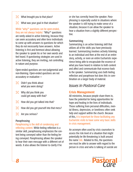- $\mathcal{R}$  What brought you to that place?
- $\mathcal{R}$  What was your goal in that situation?

While "why?" questions can be open-ended, they are not always helpful. "Why?" questions are rarely asked in active listening, because they can seem accusatory and often force individuals to come up with answers to questions for which they do not necessarily have answers. Active listening is first and foremost about allowing the speaker to speak his or her own words and feel heard. If questioning strategies are used in active listening, they are inviting, not controlling in nature and purpose.

Open-ended questions are non-judgmental and non-blaming. Open-ended questions are not accusatory or evaluative —

- $\mathcal{R}$  Didn't you think about what you were doing?
- $\mathcal{R}$  Why did you think you could get away with that?
- $\mathcal{H}$  How did you get talked into that?
- $\mathcal{H}$  How did you get yourself into that mess?
- $\mathcal{R}$  Are you serious?

#### **Paraphrasing**

Paraphrasing is the skill of condensing and reflecting content. While feeling reflection is a similar skill, paraphrasing emphasizes the content being conveyed rather than the feeling being conveyed. Paraphrasing allows the speaker to hear their own message with a different set of words. It also allows the listener to clarify if he

or she has correctly heard the speaker. Paraphrasing is especially useful in situations where the speaker is still trying to make sense of a situation, because it can allow the speaker to hear a situation from a slightly different perspective.

#### **Summarizing**

Summarizing is an active listening skill that utilizes all of the skills you have previously learned. Summarizing involves actively listening to an individual and then at the end of an entire story, activity, or even an entire Eucharistic experience being able to encapsulate the essence of what you have heard in relation to both content and affect and communicate that essence back to the speaker. Summarizing uses both feeling reflection and paraphrase but does this in combination on a larger body of material.

#### *Issues in Pastoral Care*

#### Crisis Management

All ministries, because people share them in, have the potential for being opportunities for hope and healing in the lives of individuals. Those suffering from personal difficulties, mental illness, depression, or loneliness often seek help and support within the church. Because of this, it is important for those facilitating any Eucharistic visits to have some very basic skills in crisis management.

An acronym often used by crisis counselors to assess the risk level of a situation that might potentially be life threatening is built around the name SAL. Related to this, the questions one must be able to answer with regard to the person in crisis and who is talking of suicide are

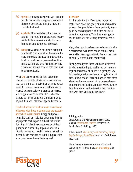- $\mathcal{R}$  Specific: Is this plan a specific well thought out plan for suicide or a generalized wish? The more specific the plan, the more immediate the threat.
- $\mathcal{R}$  Available: How available is the means of suicide? The more immediately and readily available the means of suicide, the more immediate and dangerous the threat.
- $\mathcal{R}$  Lethal: How lethal is the means being contemplated? The more lethal the means, the more immediate the need for intervention. In all circumstances a person who articulates a wish to die or to kill themselves is a person in serious need of help who must be taken seriously.

What SAL allows one to do is to determine whether immediate, official crisis intervention such as a 9-1-1 call is called for or if this person needs to be taken to a mental health resource, referred to a counselor or therapist, or referred to a clergy resource. Responsible Eucharistic Visitors do not try to handle situations that go beyond their level of knowledge and expertise.

Effective Eucharistic Visitors make referrals and follow up with those to whom they are accountable when a crisis arises. Clergy and professional lay staff can help EVs determine the most appropriate next step in a difficult crisis situation. It is vital that these resources be utilized quickly and responsibly. If you are ever in a situation where you need to make a referral to a mental health resource or call 9-1-1, please let your priest know immediately as well.

#### **Closure**

It is important to the life of every group, no matter how short the group or task-oriented the process, that people have the opportunity to say good-by and complete "unfinished business" when the group ends. Take time to say goodbye to those you are visiting before you end a visit.

Also, when you have been in a relationship with a parishioner over some period of time, make every effort to say good-bye to them at the close of your EV-communicant relationship.

Saying good-bye to those you have ministered to who are returning to health and can return to regular attendance at church is a great joy. Saying good-bye to those who are dying is an act of faith, of love and of Christian hope. In both these situations these moments of closure can be very important to the people you have visited as they face their futures and re-imagine their relationship with both Christ and the church.

#### Bibliography

Corey, Gerald and Marianne Schneider Corey. Groups: *Process and Practice,* Monterey, CA: Brooks/Cole Publishing, 1977.

Yalom, Irvin D. *The Theory and Practice of Group Psychotherapy, 2ndedition,* New York: Basic Books, Inc., 1975.

Many thanks to Steve McCormack of Oakland, California, for his help in the Art of Listening pilot project.

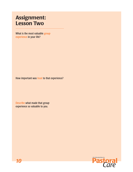## Assignment: Lesson Two

What is the most valuable group experience in your life?

How important was trust to that experience?

Describe what made that group experience so valuable to you.

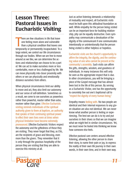## Lesson Three: Pastoral Issues in Eucharistic Visiting

There are few situations in life that leave<br>one feeling more alone and vulnerable<br>than a physical condition that leaves one<br>temporarily or permanently incapacitated. To a here are few situations in life that leave one feeling more alone and vulnerable than a physical condition that leaves one large extent, we control our life circumstances through our bodies. When we are free to move around as we like, we can determine the actions and relationships we choose to be a part of. We can act to make ourselves more or less comfortable, more or less challenged by life. We can move physically into closer proximity with others or we can physically and emotionally distance ourselves from others.

When physical circumstances limit our ability to move and act, they also limit our autonomy and our sense of self-definition. Sometimes as a result, we come to see ourselves as powerless rather than powerful, reactor rather than actor, receiver rather than giver. Effective Eucharistic visiting reminds individuals of the spiritual authority given to them at baptism, an authority that speaks of their continuing spiritual power to effect their own lives even at times when physical limitation have become extremely pronounced. Effective Eucharistic Visitors respect the autonomy and the giftedness of those they are visiting. They never forget that they, as EVs, are the recipients of grace and blessing, even more than the givers. They remember that it is only through the gracious hospitality of the person they are visiting that they are able to exercise this ministry at all.

Just as active listening demands a relationship of mutuality and respect, all Eucharistic visits must be built upon this attitudinal foundation as well. While empathy for the person being visited can be an important force for building relationship, pity can be equally destructive. Even sympathy may communicate a devaluation of the dignity of the communicant if one communicates intentionally or unintentionally that the person being visited is either helpless or hopeless.

Eucharistic visits are the church's opportunity to affirm the integrity, the dignity, and the continuing value of one who cannot be present at the community's assembly. Such visits can affirm the gifts, strengths, wisdom, and goodness of individuals. In many instances this will only be seen as the appropriate respect that is due. In other circumstances, you will be bringing a piece of the Gospel message that has almost been lost in the life of this person. By serving as a Eucharistic Visitor, one has the opportunity to concretely live out one's baptismal call to "respect the dignity of every human being."

Empathy means feeling with. No two people are identical and their internal responses to any given situation are also not identical. We can never know what another person is feeling or experiencing. The best we can do is to try and put ourselves in their shoes so that we can imagine what we might feel in similar circumstances. Yet, we must never be fooled into thinking we know how someone else feels.

Effective pastoral care centers around effective listening, allowing the other person to share their story, to name their pain or joy, to express the reality of their own life journey in their own words, in their own time, and in their own way.

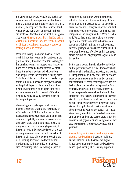In many settings where we take the Eucharistic elements we will develop an understanding of the life situation of our brother or sister in Christ. In others, we may never be able to understand what they are living with or through. In both circumstances Christ can be present. Healing can take place. Ministry is possible if the Eucharistic Visitor remembers that they are simply a conduit for Christ's Gospel message, not the source of healing, hope, and comfort.

When ministering in a home, hospital or hospice it is important to remember that one is the guest. At times, it may be important to recognize that one has come at an inopportune time, even if one has a scheduled appointment. At other times it may be important to include others who are present in the visit that is taking place. Eucharistic visits can provide much needed support to family members and caregivers as well as the principle person for whom the visit was meant. Inviting others to be a part of the visit and receive communion is an act of Christian hospitality. So is allowing them the room to decline participation.

Maintaining appropriate personal space is another element to sharing the hospitality of a Eucharistic visit. Sitting on the beds of the bedridden can be a significant violation of that person's hospitality and an expression of over familiarity. Visits should take place ideally by bringing a chair in close enough proximity to the person who is being visited so that one can be easily seen and heard but still respectful of the personal space of the person receiving the visit. Entering someone's bedroom without knocking and asking permission is at best, rude. Performing tasks like tidying a space or

straightening bedclothes without first being asked is also an act of over familiarity. If it appears that helpful assistance can be offered in a situation, one must always ask permission first. Remember you are the guest, not the host, the caregiver, or the family member. When a Eucharistic Visitor has made many visits and developed a true comfortableness in hospital, care center, or sick bed settings, one still does not have the prerogative to assume responsibilities, no matter how uncomfortable and ill equipped others around you might appear to you to be in this setting.

By the same token, there is a kind of authority and responsibility one receives from one's host. When a visit is scheduled, expected, and wanted it is inappropriate to allow oneself to be shooed away by an unaware family member or medical staff member. When medical procedures are taking place one can simply step outside for a moment, reschedule if necessary, or often ask if the care provider can wait and return in the amount of time needed to finish the Eucharistic visit. In any of these circumstances it is most important to take your cue from the person being visited. It is up to them to decide whether you should continue your visit or curtail it. In most situations, you will find that medical personnel and family members are deeply grateful for the unique ministry you offer and will go out of their way to be helpful and cooperative regarding your visit.

An absolutely critical issue in all hospital visitation is hand washing. If you are making a Eucharistic visit in the hospital, wash your hands upon entering the room and wash your hands upon leaving. This is vitally important

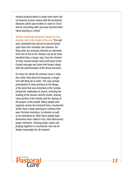medical protocol which is made even more criti cal because of your contact with the Eucharistic elements which your brother or sister in Christ will be consuming after you have touched them. Hand washing is critical!

Another extremely important concern in a Eu charistic visit is the length of the visit. This will vary somewhat from person to person based upon their time restraints and stamina. For those who are seriously infirmed an extremely brief visit of five to ten minutes can be far more beneficial than a longer stay. Even the shortest of visits should include some brief word of the Gospel message and some brief prayer along with the administration of the bread and wine.

For those for whom the primary issue is isola tion rather than physical incapacity, a longer visit will likely be in order. This may include participation in more portions of the liturgy of the word that was presented at the Sunday Eucharistic celebration at church, including the reading of the lessons and the psalm, sharing some portion of the homily and the sharing of the prayers of the people. Many people who regularly receive the Eucharist from a Eucharistic Visitor have a deep yearning to continue their own Christian ministries, to minister as well as be ministered to. Often these people have themselves been called to rich, vital intercessory prayer ministries. Sharing prayer needs and praying together in a Eucharistic visit can be deeply meaningful for all involved.

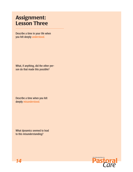## Assignment: Lesson Three

Describe a time in your life when you felt deeply understood.

What, if anything, did the other person do that made this possible?

Describe a time when you felt deeply misunderstood.

What dynamics seemed to lead to this misunderstanding?

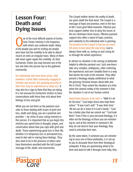## Lesson Four: Death and Dying Issues

The of the most difficult aspects of Eucha-<br>
ristic Visitor ministry is the frequency<br>
with which one confronts death. Many<br>
of the neople you will be visiting are people ristic Visitor ministry is the frequency with which one confronts death. Many of the people you will be visiting are people who have lost the mobility to be able to attend church on even an irregular basis. Many of them will never again regain this mobility. As their Eucharistic Visitor you may become one of the last real links this person has to the gathered community.

For individuals who have been active, vital members of their faith community engaged in ministry and service, this growing passivity in their lives may be experienced as deep loss. It may also be a sign to them that they are dying. It is not unusual for Eucharistic Visitors to have conversations with those they visit about their feelings of loss and grief.

While you are not there as the pastoral counselor to those dealing with issues of grief and loss, death and dying, you are a pastoral care provider — by virtue of your caring ministry to this person. It is important that as you begin this ministry you spend time in thought, prayer, and conversation about how you cope with grief and death. Those experiencing great loss in their life, whether it is temporary loss or permanent loss, need to feel safe in voicing these feelings. They also need to be in the presence of others who have themselves wrestled with the full Gospel message of life, death, and resurrection.

The Gospel neither denies the reality of death, nor gives death the final word. The Gospel is a message of hope and promise, even in the face of life's most grief filled moments. Effective pastoral support neither tries to deny the losses of life nor minimizes those losses. Effective pastoral support also offers a word of hope, promise, and solidarity to the individual who is grieving. The promise of the Gospel is that we are never left alone to face what life may bring. God is always there with us, loving us and caring for us through the whole experience.

In almost no situation is the voicing of platitudes helpful to effective pastoral care. Such one-liners take very complex, ambiguous, often confusing life experiences and over simplify them in a way that denies the truth of the moment. They often present a theology deeply antithetical to what the grieving Christian knows about faith and life in Christ. They control the situation at a time when the clearest reality of the moment is that the situation is out of our human control.

Avoid these phrases at all costs — "Well it's all for the best." "God helps those who help themselves." "It was God's will." "It was their time." "All we can do is leave it in God's hands." "God has a better plan that we cannot see." "God took them." Even if this is your personal theology, it is often not the theology of those you are ministering to; and at this moment in someone's life they do not need to hear your theology, they need to articulate their own.

By the same token, if someone you are ministering to uses one of these platitudes, it is not up to you to dissuade them from their theological viewpoint. If they are questioning what to believe and want to talk it through more fully, they

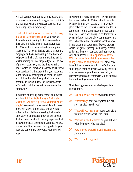will ask you for your opinion. If this occurs, this is an excellent moment to suggest the possibility of a pastoral visit from whoever does pastoral counseling in your community.

Effective EV work involves teamwork with clergy and other trained professionals who provide their gifts in ministering to this person when their gifts and roles are the most appropriate. An EV is neither a priest extender nor a priest substitute. The role of the Eucharistic Visitor in a congregation has its own unique and boundaried place in the life of a community. Eucharistic Visitor training has not prepared you for the role of pastoral counselor, and the time restraints under which you function also leave this beyond your purview. It is important that your response to the inevitable theological reflections of those you visit be thoughtful, empathetic, and appropriate to the boundaries of the relationship a Eucharistic Visitor has with a member of the community.

In addition to hearing many stories about grief and loss, it is inevitable that as a Eucharistic Visitor you will also experience your own share of grief. We come to those we minister to bearing Christ's love, and because of that we are not objective outsiders observing their death. Grief work is an important part of self-care for the Eucharistic Visitor. It is vitally important that following the loss of someone you have visited, particularly if that loss was through death, you have the opportunity to process your own feelings.

The death of a parishioner who has been under the care of Eucharistic Visitors should be noted by some kind of grief session. This may take place between the Eucharistic Visitor and the EV coordinator for the congregation. It may sometimes best take place through a pastoral visit between a clergy member of the congregation and the Eucharistic Visitor or Visitors. Another way it may occur is through a small group process where EVs gather, perhaps with clergy present, to discuss their joys, sorrows, and frustrations with one another. It is not appropriate for the EV to just work through this grief alone or by taking it home to family members. Part of effective ministry in a congregation is effective care and support of the ministers. Allowing others to minister to you in your times of joy, pain, and grief strengthens and empowers you to continue the good work you are a part of.

The following questions may be helpful for a debrief process —

- $\mathcal{R}$  Talk about your last visit with this person.
- $\mathcal{R}$  What feelings does hearing that this person has died raise in you?
- $\mathcal{R}$  What will you miss most about your visits with this brother or sister in Christ?
- $\mathcal{R}$  What unfinished business do you still have with the person who has died?
- $\mathcal{H}$  How are you expressing and experiencing your grief?
- Who is comforting you?

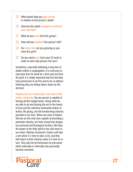- $\mathcal{R}$  What would help you gain closure in relation to this person's death?
- $\mathcal{H}$  How has this death changed or reinforced your own faith?
- $\mathcal{R}$  What do you need from this group?
- $\mathcal{H}$  How will you celebrate this person's life?
- $\mathcal{R}$  For whom else are you grieving as you enter this grief?
- $\mathcal{R}$  Do you need a rest from your EV work in order to more fully process this loss?

Sometimes, especially following a long line of deaths within a congregation, it is necessary to step back from EV work for a time and rest from the grief. It is vitally important that EVs feel they have permission to do this and to do so without believing they are letting others down by this decision.

Pastoral care of a community is the work of the whole community. No one person is capable of bearing all this weight alone. Doing what we are able to do and leaving the rest in the hands of God and the collective community makes effective, life giving, and life transforming ministry possible in our lives. When we come to believe that we are the only ones capable of providing a particular ministry, we have moved into danger ous personal and theological territory. We deny the power of the Holy Spirit to live and move in our midst. Effective Eucharistic Visitors will take a rest when it is time to take a rest, and they will return to their ministry when it is time to re turn. They will not let themselves be pressured either externally or internally into personally harmful overwork.

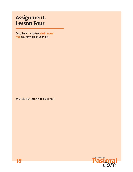## Assignment: Lesson Four

Describe an important death experience you have had in your life.

What did that experience teach you?

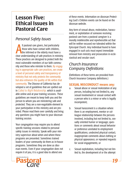## Lesson Five: Ethical Issues in Pastoral Care

#### *Personal Safety Issues*

Il pastoral care givers, but particularly<br>those who have contact with children,<br>dear understanding of safe practices in ministry. ll pastoral care givers, but particularly those who have contact with children, the infirmed or the elderly must have a These practices are designed to protect both the most vulnerable members of our faith community and those who minister to them. By engaging in appropriate safe care practices, we create a level of personal safety and transparency of ministry that not only protects the community but also enhances the quality of life within that community. The Diocese of California has developed a set of guidelines that are spelled out in *Called to Right Relationship,* which is available online and at your training sessions. These guidelines are meant to keep both you and the person to whom you are ministering safe and protected. They are a non-negotiable element to your participation in this ministry and are provided. Please read them over carefully and bring any questions you might have to your diocesan training session.

Your congregation may require you to attend specific training sessions related to personal safety issues in ministry. Speak with your ministry supervisor about when and where these programs are presented. Sometimes trained leaders of your community do them as in-house programs. Sometimes they are done as diocesan events. Even if your congregation does not require it of you, it is a good idea to attend one

of these events. Information on diocesan Protecting God's Children events can be found on the diocesan website.

Any form of sexual abuse, molestation, harassment, or exploitation of someone receiving pastoral care from a pastoral caregiver is a morally indefensible and reprehensible act that will be neither excused nor tolerated within the Episcopal Church. Any individual found to have engaged in such acts must expect immediate removal from ministry and prosecution in ecclesiastical and secular court.

#### *Church Insurance Company Definitions*

(Definitions of these terms are provided from Church Insurance Company definitions.)

#### SEXUAL MISCONDUCT means any:

- a. Sexual abuse or sexual molestation of any person, including but not limited to, any sexual involvement or sexual contact with a person who is a minor or who is legally incompetent;
- b. Sexual harassment is a situation where there is an employment, mentor or colleague relationship between the persons involved, including but not limited to, sexually oriented humor or language; questions or comments about sexual behavior or preference unrelated to employment qualifications; undesired physical contact; inappropriate comments about clothing or physical appearance; or repeated requests for social engagements; or
- c. Sexual exploitation, including but not limited to, the development of or the attempt

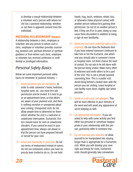to develop a sexual relationship between a volunteer and a person with whom he/ she has a pastoral relationship, whether or not there is apparent consent from the individual.

#### PASTORAL RELATIONSHIP means:

A relationship between a cleric, employee or volunteer and any person to whom such a cleric, employee or volunteer provides counseling, pastoral care, spiritual direction or spiritual guidance or from whom such cleric, employee or volunteer has received confession or confidential or privileged information.

#### *Personal Safety Basics*

Below are some important personal safety basics to remember in pastoral ministry —

- 1 Never go where you are not invited. In order to enter someone's home, bedroom, hospital room, etc. one must first ask permission and be invited. It is best to go at set appointment times so that others are aware of your planned visit, and there is nothing secretive or unexpected about your coming. Unexpected visits do not allow people time to determine for themselves whether the visit is a welcome or unwelcome interruption. Eucharistic Visitors should never be seen as unwelcome intruders. If you cannot be exact in your appointment time, always call ahead so that the person can have prepared himself or herself for your visit.
- 2 Avoid over familiarity in your visit. Do not use terms of endearment instead of names. Do not use nicknames unless you have expressly been invited to do so. Do not hold

hands, hug, touch, embrace, stroke, kiss or otherwise make physical contact with another person without first gaining their permission. Do not sit on another person's bed. If they are ill or in pain, doing so may cause them discomfort in addition to being a sign of over familiarity.

- 3 Avoid any and every potential signal of impropriety. Do not close the bedroom door if you have entered someone's bedroom to take him or her the Eucharist. Ask which seat you should take in someone's home or hospital room. Let them choose the level of contact. Do not ask to be left alone with the person being visited. Make every effort to welcome and invite others to be a part of the visit. This is not a private pastoral counseling time. This is a public visit. Avoid being behind a locked door with the person you are visiting. Leave hospital or care facility room doors slightly ajar when possible.
- 4 Speak in a full voice, not whispers. This will be more effective in your ministry of the word and will avoid any appearance of secret keeping as well.
- 5 Set appropriate boundaries. If you are asked to help with some activity you find either too personal or somehow inappropriate to your relationship with this person, graciously defer to someone else.
- 6 Do not overstay your welcome or allow yourself to be manipulated into staying longer than is appropriate for a Eucharistic visit. While you will develop your own style and tempo for visits, Eucharistic visits should generally take somewhere

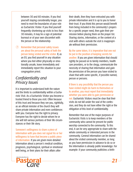between 30 and 60 minutes. If you find yourself staying considerably longer, you need to reset the boundaries of your role as Eucharistic Visitor. If you find yourself frequently shortening up visits to less than 30 minutes, it may be a sign of potential burnout or of your own discomfort with the person or the relationship.

7 Remember that personal safety issues are about the personal safety of both the person being visited and the visitor. If, as an EV, you find yourself in any situation where you feel either physically or emotionally unsafe, leave immediately and immediately report this situation to your congregation priest.

#### *Confidentiality and Privacy Issues*

It is important to understand both the nature and the limits to confidentiality within a Eucharistic Visit. As a Eucharistic Visitor you become a trusted friend to those you visit. Often because of this trust and because they see you, rightfully, as an official minister of the church they will share private information and even confidences with you. Everyone has the right to privacy. Everyone has the right to decide whom he or she will tell various portions of their life circumstances or their life story.

Someone's willingness to share a piece of information with you does not signal his or her willingness to have that become a public piece of information. If you are given more detailed information about a person's medical condition, prognosis, psychological, spiritual or emotional well being, or their plans for their affairs after

their death, then they have entrusted you with private information and it is up to you to honor their trust. If you think this person would benefit from being included in the community's prayers for a specific prayer need, then gain their permission before placing them on the prayer list. Sharing stories, information, or the content of a visit with others outside the visit is inappropriate without their permission.

By the same token, it is imperative that one not be put in the position of keeping secrets for another. If you are given information that should rightly be passed on to family members, health care providers, or to the clergy, communicate the necessity of sharing that information and gain the permission of the person you have visited to share that with some specific, if possible named, person or persons.

If there is any possibility that the person you have visited might do harm to themselves or to another, you must report that immediately whether you were able to gain permission or not. Eucharistic Visitors must be clear that their visits do not fall under the seal of the confession, and they do not have either the right or the obligation of this level of confidentiality.

Remember that one of the major purposes of Eucharistic Visits is to keep members of the community who cannot be present for public worship connected to the community. To this end, it can be very appropriate to share with the whole community or interested persons in the community. General information can be shared about the visited community member, as long as you have permission in advance to do so or the information is already public knowledge. For example: if your community publishes a birth-

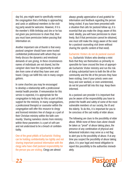day list, you might want to specifically remind the congregation that a birthday is approaching and cards or additional members to the visiting party would be welcome. However, if it is the member's 90th birthday and she or he has not given you permission to share that, then you must have permission before passing that information on.

Another important rule of thumb is that every pastoral caregiver should have some trusted confidential professional with whom they can freely discuss the dynamics and emotional demands of care giving. In these circumstances names of individuals are not shared, but the caregiver does have the opportunity to unburden from some of what they have seen and heard. Clergy can fulfill this role in many congregations.

In some churches you may be encouraged to develop a relationship with a professional mental health provider. If remuneration for this service is expected, it is appropriate for the congregation to help pay for this as part of their support for the ministry. In many congregations, a professional therapist or counselor within the congregation will offer this resource to clergy and licensed ministers free of charge as a part of their Christian ministry within the faith community. Sharing nameless stories from ministry within these parameters is a part of self-care and not understood to be a breach of confidentiality.

One of the great pitfalls of Eucharistic Visiting can be holding confidentiality too tightly and not sharing important pastoral information with the clergy who have chief pastoral responsibility for the person you are visiting. Clergy are almost

always greatly appreciative of and grateful for information and feedback regarding the person being visited. If you have been presented with a situation that calls for pastoral follow up, it is essential that you make the clergy aware of this need. Ideally, you will have permission to share freely. But if that permission cannot be obtained, one must still make the clergy aware of the need for a pastoral counseling visit (even without sharing the specific content of that need).

Eucharistic Visitors do not do pastoral counseling. Eucharistic Visitors who develop a mini flock that they see themselves as primarily responsible for have crossed the lines of appropriate Eucharistic Visitor ministry and run the risk of doing substantial harm to both the life of the community and the life of the persons they have been visiting. Even if your priests seem over busy and over worked, or even uninterested, do not let yourself fall into this trap. Keep them informed.

As a pastoral care provider it is important that you be aware of the responsibility you have to protect the health and safety of some of the most vulnerable members of our society, the ill and the elderly. To do this, it is important for you to be conscious of the sad reality of elder abuse.

The following are clues to the possibility of elder abuse. While none of these clues alone should be taken as "proof" of abuse taking place, the presence of any combination of physical and behavioral indicators may serve as a red flag to alert you to the possibility of abuse. If at any time you suspect the possibility of abuse taking place, it is your legal and moral obligation to report this possibility to the authorities immediately.

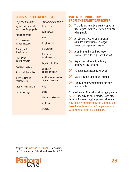#### CLUES ABOUT ELDER ABUSE

| <b>Physical Indicators</b> | <b>Behavioral Indicators</b> |
|----------------------------|------------------------------|
| Injuries that have not     | <b>Depression</b>            |
| been cared for properly    | Withdrawal                   |
| Pain on touching           | Fear                         |
| Cuts, lacerations,         |                              |
| puncture wounds            | <b>Helplessness</b>          |
| Bruises, welts,            | <b>Resignation</b>           |
| discoloration              | <b>Hesitation</b>            |
| Evidence of                | to talk openly               |
| inadequate care            | Implausible stories          |
| Poor skin hygiene          | Confusion                    |
| Soiled clothing or bed     | or disorientation            |
| Burns caused by            | Ambivalence / contra-        |
| cigarettes, etc.           | dictory statements           |
| Signs of confinement       | Anger                        |
| Lack of bandages           | <b>Denial</b>                |
|                            | Nonresponsiveness            |
|                            | Agitation                    |
|                            | Anxiety                      |
|                            |                              |

#### POTENTIAL INDICATORS FROM THE FAMILY/CAREGIVER

- $\mathcal{R}$  The elder may not be given the opportunity to speak for him- or herself, or to see other people
- $\mathcal{R}$  An obvious absence of assistance, attitudes of indifference, or anger toward the dependent person
- $\mathcal{R}$  A family member of the caregiver "blames" the elder (e.g., incontinence)
- $\mathcal{R}$  Aggressive behavior by a family member of the caregiver
- $\mathcal{R}$  Inappropriate flirtatious behavior
- $\mathcal{B}$  Social isolation of the older person
- $\mathcal{R}$  Family members withholding affection from an elder

To repeat, none of these indicators signify abuse *per se.* They may be clues, however, and may be helpful in assessing the person's situation. Any concerns that these raise for you should be taken immediately to your EV supervisor who will help you contact the authorities.

Adapted from: *Elder Abuse Protocols,* The San Francisco Consortium for Elder Abuse Prevention, 6/92.

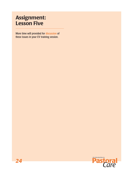## Assignment: Lesson Five

More time will provided for discussion of these issues in your EV training session.

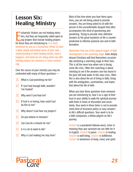## Lesson Six: Healing Ministry

**Example 13** ucharistic Visitors are not healing min<br>ters, but they are frequently called upo<br>say prayers that include healing prayer<br>for those they are ministering to. It is most ucharistic Visitors are not healing ministers, but they are frequently called upon to say prayers that include healing prayers beneficial for you as a Eucharistic Visitor to have a fairly clearly articulated sense of your own understanding of what healing entails, how it happens, and what we are doing when we offer healing prayers for someone or some community.

Over the course of your ministry you may be confronted with many of these questions —

- $\mathcal{R}$  What is God punishing me for?
- $\mathcal{R}$  If I just had enough faith, wouldn't I be healed?
- $\mathcal{R}$  Why won't God heal me?
- $\mathcal{H}$  If God is so loving, how could God do this to me?
- $\mathcal{R}$  Why doesn't God hear my prayers?
- $\mathcal{R}$  Do you believe in miracles?
- $\mathcal{R}$  Can God do a miracle for me?
- $\mathcal{R}$  Is it a sin to want to die?
- $\mathcal{R}$  Why is God making me stay here?

Most of the time when you hear these questions, you are not being asked to provide answers. You are being asked to sit with the person in the uncomfortable disquiet that often accompanies this kind of questioning and pondering. Trying to provide clear definitive answers to the great mysteries of life is counterproductive to effective pastoral care and to faith formation.

Remember that one of the natural stages of faith development is the searching stage. Even deeply devout Christians will find themselves occasionally reentering a searching stage in their lives. This is all the more true when one is facing some life crisis. Often this searching is about checking to see if the answers one has found in the past still hold water in this new crisis. Often this is also about the art of living in faith, living with the ambiguities, uncertainties, and hopes that attend the life of faith.

When you hear these questions from someone you are ministering to, hear it as a sign of their trust in your ability to walk the spiritual journey with them in times of discomfort and uncertainty. Your work in these times is not to provide some kind of insurance policy or easy answers to life's difficult questions. Your work is to be a faith companion, a fellow pilgrim on life's journey.

*Shalom* is a wonderful Hebrew word, richer in meaning than any synonym we can offer for it in English. *Shalom* is peace. *Shalom* is healing. *Shalom* is well being. *Shalom* is fulfillment. *Shalom* is wholeness of body, mind, and spirit.

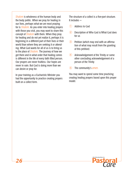*Shalom* is wholeness of the human body and the body politic. When we pray for healing in our lives, perhaps what we are most praying for is *Shalom.* As you enter into healing prayers with those you visit, you may want to share this concept of *Shalom* with them. When they pray for healing and do not yet realize it, perhaps it is beginning in a different part of their lives or their world than where they are seeking it or attending. What God wants for all of us is to bring us to the place of *Shalom.* The journey of how we get there and in what order that healing comes is different in the life of every faith filled person. Our prayers are never fruitless. Our hopes are never in vain. But God is doing more than we can desire or pray for.

In your training as a Eucharistic Minister you had the opportunity to practice creating prayers built on a collect form.

The structure of a collect is a five-part structure. It includes —

- 1 Address to God
- 2 Description of Who God is/What God does for us
- 3 Petition (which may end with an affirmation of what may result from the granting of this petition)
- 4 Acknowledgement of the Trinity or some other concluding acknowledgement of a person of the Trinity
- 5 The community's *amen.*

You may want to spend some time practicing creating healing prayers based upon this prayer model.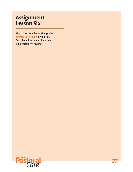## Assignment: Lesson Six

What have been the most important moments of healing in your life? Describe a time in your life when you experienced healing.

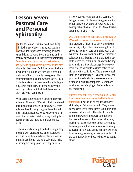## Lesson Seven: Pastoral Care and Personal Spirituality

In the section on issues of death and dying<br>in Eucharistic Visitor ministry, we began to<br>explore the importance of setting boundar-<br>ies and doing self-care if one is to function in a In the section on issues of death and dying in Eucharistic Visitor ministry, we began to explore the importance of setting boundarhealthy way within a Eucharistic Visitor ministry. One vitally important aspect of pastoral care and personal spirituality is the issue of self-care. Most often the cause of ministry burnout within the church is a lack of self-care and communal nurturing of the community's caregivers. It is vitally important to your long-term success as a Eucharistic Visitor that you learn from the beginning to set boundaries, to acknowledge your own physical and spiritual limitations, and to seek help when you need it.

While every congregation is different, one valuable rule of thumb in EV work is that one should limit the number of visits one makes in a week to two or less. In many congregations this will mean that it is not possible to visit everyone in need of a Eucharistic Visit on every Sunday. Less frequent visits are more helpful than hurried visits.

Eucharistic visits are a gift and a blessing if they are done with graciousness, open heartedness, and a sense of the abundance of God's love being manifest through the visit. When EVs strive for seeing too many people in a day or week,

it is very easy to lose sight of this deep grace being expressed. Visits may then grow routine, perfunctory, or may grow physically and emotionally exhausting for the visitor. Avoid this by setting reasonable limits.

#### One of the most important pieces of self-care an EV can do is taking others along on the visit.

This provides a fuller sense of the church coming to visit, not just the visitor coming to visit. It allows for a debrief partner if it has been a difficult visit. It also allows for a deeper moment of celebration as all gather around the Eucharistic table to receive Communion. Another advantage to team visits is they discourage the development of dependent relationships between the visitor and the parishioner. There are very real limits to what ministry a Eucharistic Visitor can provide. Shared visits help everyone remain clear about what is appropriate EV work and what is an over stepping of the boundaries of the relationship.

Another important aspect of self-care in EV ministry is continued involvement with the larger community. EVs should be regular attendees at Sunday (or Saturday) worship. They should have a clear sense of the larger community they represent in their visits. They should be able to bring news from the larger community to the person they are visiting because they are, indeed, full active members of that community. Becoming a spiritual lone ranger is extremely dangerous in any care-giving ministry. EVs need to be learning, growing, nourished members of the community if they hope to be able to nourish others.

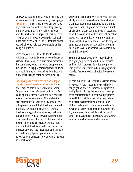One way to help insure that we are learning and growing as Christian persons is by developing a rule of life. A rule of life is a covenant with God regarding how one will live their daily, weekly, monthly, and annual life. A rule of life often articulates what one's prayer patterns will be. It states what one hopes to accomplish spiritually in the next piece of one's life. It identifies whom you will allow to hold you accountable for the living out of the rule.

Some people use a rule of life developed by a religious community. Some may even choose to associate themselves as a third order member of that community. Others may find that programs like the AA 12 step program help them to develop a useful frame for how to live their lives with purposefulness and spiritual consciousness.

Developing a rule of life can be a very important step in one's spiritual development. Your priest may be able to help you do that work. Or your priest may refer you to a list of professional spiritual directors who can be a resource to you in developing a rule of life and setting clear boundaries for your ministry. If you seek out a professional spiritual director you should anticipate paying for their services. Spiritual directors are highly knowledgeable, pastorally trained persons whose life work is helping others explore the wealth of spiritual resources that are part of the greater religious spiritual tradition. Spiritual directors are often well versed in methods of prayer and meditation and can help you find the right prayer path for your own life as well as help you learn how to build a life with spiritual balance.

Others find that their needs for spiritual accountability and direction can be met through either a spiritual peer mentor relationship or a group experience. Your EV group can become a spiritual formation group, but only if you all covenant to be this to one another. In a spiritual formation group one has permission to nurture one another in faith, speak the truth in love, to pray for one another in times of need and on a regular basis, and to call one another to accountability when it is required.

Spiritual direction done either individually or through group direction can be a deeply rich and life giving process. As a licensed pastoral care giver in your community, it is highly recommended that you receive direction from some source.

At bare minimum, all Eucharistic Visitors should have one sit down meeting a year with their congregation priest or someone designated by their priest to discuss the nature and development of their ministry. In many congregations one will find that the expectations regarding ministerial accountability are considerably higher. Under no circumstances should an EV function for years on end without supervision. If you are ever placed in this position, insist upon the development of a supervisory/support relationship with a congregation leader.

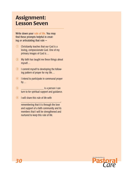## Assignment: Lesson Seven

Write down your rule of life. You may find these prompts helpful in creating or articulating that rule —

- 1 Christianity teaches that our God is a loving, compassionate God. One of my primary images of God is…
- 2 My faith has taught me these things about myself…
- 3 I commit myself to developing the following pattern of prayer for my life…
- 4 I intend to participate in communal prayer  $by...$
- $\overline{5}$   $\overline{5}$   $\overline{5}$   $\overline{5}$   $\overline{6}$   $\overline{1}$  can turn to for spiritual support and guidance.
- 6 I will share this rule of life with

remembering that it is through the love and support of a faith community and its members that I will be strengthened and nurtured to keep this rule of life.

\_\_\_\_\_\_\_\_\_\_\_\_\_\_\_\_\_\_\_\_\_\_\_\_\_\_\_\_,

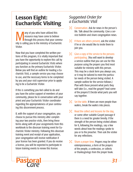## Lesson Eight: Eucharistic Visiting

**Many of you who have utilized this**<br>resource may have come to believ<br>through this process that your con-<br>nity is calling you to the ministry of Euchar resource may have come to believe through this process that your community is calling you to the ministry of Eucharistic Visitor.

Now that you have completed the written portions of this program, it is vitally important that you have the opportunity to explore this call by participating in several Eucharistic Visits where you function as the primary Eucharistic Visitor. Below you will find an outline for leading a Eucharistic Visit, a sample service you may choose to use, and the necessary forms to be completed by you and your visit supervisor prior to applying to be a Eucharistic Visitor.

If this is something you feel called to do and you have the active support of members of your community, please be in conversation with your priest and your Eucharistic Visitor coordinator regarding the appropriateness of your continuing this discernment process.

If, with the support of your congregation, you choose to pursue this ministry after completing your two practice visits, then bring these forms along with all your assignments from this workbook to the diocesan training event for Eucharistic Visitor ministry. Following this diocesan training event and receipt of your application, your congregation will receive notification if your license has been granted. If you do receive a license, you will be expected to participate in future training events to renew this license.

#### *Suggested Order for a Eucharistic Visit*

- $\mathcal X$  Conversation. Ask for news in the person's life. Talk about the community. Give a service bulletin and share congregation news.
- $\mathcal{R}$  If there are others present, ask the visitee if he or she would like to invite them to join you.
- $\mathcal{R}$  Give a copy of the service to the persons participating. (You will want to develop a service outline that you can use for this purpose using the prayers you find most suitable for ministry with this person. This may be a stock form you always use, or it may be tailored to meet the particular needs of the person being visited. A sample outline for the service follows.) Plan with those present what parts they will take (i.e., read the gospel? lead some of the prayers?) Decide what parts you will say together.
- $\mathcal{R}$  Set the table. If there are more people than wafers, break the wafers into pieces.
- $\mathcal{R}$  Read the collect and lessons for the day, or some other suitable Gospel passage if there is a need for greater brevity. If the strength of the person being visited allows for it, following the readings, say a few words about how the readings spoke to you or to the preacher. Then ask the visitee for any reflections.
- $\mathcal{R}$  Share a prayer time. Prayers may be either extemporaneous, a form of the prayers of the people, a confession, or collects or thanksgivings from the prayer book.

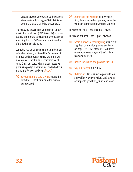Choose prayers appropriate to the visitee's situation (e.g. BCP page 458 ff., Ministration to the Sick, a birthday prayer, etc.).

The following prayer from Communion Under Special Circumstances (BCP 396–397) is an especially appropriate concluding prayer just prior to reciting the Lord's Prayer and administration of the Eucharistic elements.

"Almighty Father, whose dear Son, on the night before he suffered, instituted the Sacrament of his Body and Blood: Mercifully grant that we may receive it thankfully in remembrance of Jesus Christ our Lord, who in these mysteries gives us a pledge of eternal life; and who lives and reigns for ever and ever. *Amen."*

 $\mathcal{R}$  Say together the Lord's Prayer using the form that is most familiar to the person being visited.

 $\mathcal{R}$  Administer the elements to the visitee first, then to any others present, using the words of administration, then to yourself.

The Body of Christ — the Bread of Heaven.

The Blood of Christ — the Cup of Salvation.

- $\mathcal{R}$  Share a prayer of thanksgiving after receiving. Post communion prayers are found on page 365–366 of the BCP. A briefer extemporaneous prayer of thanksgiving may also be used.
- $\mathcal{R}$  Return the chalice and paten to their kit.
- $\%$  Say a dismissal. (BCP 366)
- $\mathcal{B}$  Bid farewell. Be sensitive to your relationship with the person visited, and give an appropriate good-bye gesture and leave.

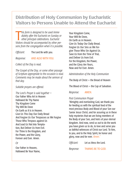### Distribution of Holy Communion by Eucharistic Visitors to Persons Unable to Attend the Eucharist

**This form is designed to be used immediately after the Eucharist on Sunday or other principal celebrations. Eucharist Visitors should be accompanied by other per***his form is designed to be used immediately after the Eucharist on Sunday or other principal celebrations. Eucharist sons from the congregation when it is possible.*

*Officiant:* The Lord Be with you.

*Response:* AND ALSO WITH YOU.

*Collect of the Day is read.*

*The Gospel of the Day, or some other passage of Scripture appropriate to the occasion is read. Comments may be made about the sermon of that day.*

*Suitable prayers are offered.*

*The Lord's Prayer is said together —* Our Father Who Art in Heaven Hallowed Be Thy Name Thy Kingdom Come Thy Will Be Done On Earth as It Is in Heaven. Give Us This Day Our Daily Bread And Forgive Us Our Trespasses as We Forgive Those Who Trespass against Us And Lead Us Not Into Temptation, But Deliver Us from Evil. For Thine Is the Kingdom, and the Power, and the Glory, Forever and Ever. Amen.

*Or*

Our Father in Heaven, Hallowed Be Your Name,

Your Kingdom Come, Your Will Be Done, On Earth as in Heaven. Give Us Today Our Daily Bread. Forgive Us Our Sins as We Forgive Those Who Sin Against Us. Save Us from the Time of Trial, and Deliver Us from Evil. For the Kingdom, the Power, and the Glory Are Yours, Now and For Ever. Amen.

*Administration of the Holy Communion*

The Body of Christ — the Bread of Heaven

The Blood of Christ — the Cup of Salvation.

*Response:* AMEN.

#### *Post Communion Prayer*

"Almighty and everlasting God, we thank you for feeding us with the spiritual food of the most precious Body and Blood of your Son our Savior Jesus Christ; and for assuring us in these holy mysteries that we are living members of the Body of your Son, and heirs of your eternal kingdom. And now, send us out to do the work you have given us to do, to love and serve you as faithful witnesses of Christ our Lord. To him, to you, and to the Holy Spirit, be honor and glory, now and for ever. *Amen."*

*Officiant:* Let us bless the Lord. *Response:* THANKS BE TO GOD.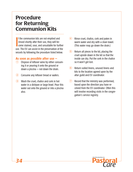## Procedure for Returning Communion Kits

**I**<br>IIC f the communion kits are not emptied and rinsed shortly after their use, they will become stained, sour, and unsuitable for further use. The EV can assist in the preservation of the vessels by following the procedure listed below.

#### As soon as possible after use —

- 1 Dispose of leftover wine by either consuming it or pouring it onto the ground or down a piscina — not down the drain.
- 2 Consume any leftover bread or wafers.
- 3 Wash the cruet, chalice and cork in hot water in a dishpan or large bowl. Pour this water out onto the ground or into a piscina also.
- 4 Rinse cruet, chalice, cork and paten in warm water and dry with a clean towel. (This water may go down the drain.)
- 5 Return all pieces to the kit, placing the cruet upside down in the kit so that the inside can dry. Put the cork in the chalice so it won't get lost.
- 6 Return soiled linens, unused linens and kits to the location agreed upon by the altar guild and EV coordinator.
- 7 Record that the ministry was performed, based upon the direction you have received from the EV coordinator. Often this will involve recording visits in the congregation's service registry.

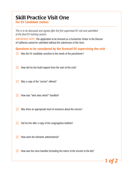## Skill Practice Visit One

For EV Candidate (name):

*This is to be discussed and signed after the first supervised EV visit and submitted at the final EV training session.* 

IMPORTANT NOTE: The application to be licensed as a Eucharistic Visitor in the Diocese of California cannot be submitted without the submission of this form.

Questions to be considered by the licensed EV supervising the visit

- $\mathcal X$  Was the EV candidate sensitive to the needs of the parishioner?
- $\mathcal{H}$  How did he/she build rapport from the start of the visit?
- $\mathcal{H}$  Was a copy of the "service" offered?
- $\mathcal{H}$  How was "who does what?" handled?
- $\mathcal{H}$  Was there an appropriate level of reverence about the service?
- $\mathcal{R}$  Did he/she offer a copy of the congregation bulletin?
- $\mathcal{H}$  How were the elements administered?
- $\mathcal{H}$  How was the close handled (including the return of the vessels to the kit)?

*1 of 2*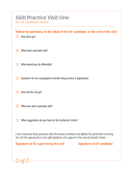## Skill Practice Visit One

For EV Candidate (name):

Follow-up questions, to be asked of the EV candidate, at the end of the visit

 $\mathcal{H}$  How did it go?

- $\mathcal{R}$  What went especially well?
- $\mathcal{R}$  What would you do differently?
- $\mathcal{R}$  Questions for the congregation member being visited, if appropriate:
- $\mathcal{H}$  How did the visit go?
- $\mathcal{R}$  What was done especially well?
- $\mathcal{R}$  What suggestions do you have for the Eucharistic Visitor?

*I have discussed these questions with the named candidate and offered the parishioner receiving the visit the opportunity to also offer feedback and support to this new Eucharistic Visitor.*

Signature of EV supervising the visit Signature of EV candidate

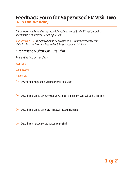## Feedback Form for Supervised EV Visit Two

For EV Candidate (name):

*This is to be completed after the second EV visit and signed by the EV Visit Supervisor and submitted at the final EV training session.* 

*IMPORTANT NOTE: The application to be licensed as a Eucharistic Visitor Diocese of California cannot be submitted without the submission of this form.*

#### *Eucharistic Visitor On-Site Visit*

*Please either type or print clearly:*

Your name

**Congregation** 

Place of Visit

- 1 Describe the preparation you made before the visit:
- 2 Describe the aspect of your visit that was most affirming of your call to this ministry:
- 3 Describe the aspect of the visit that was most challenging:
- 4 Describe the reaction of the person you visited:

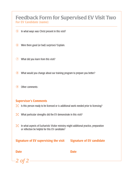#### Feedback Form for Supervised EV Visit Two For EV Candidate (name):

- 5 In what ways was Christ present in this visit?
- 6 Were there good (or bad) surprises? Explain.
- **7** What did you learn from this visit?
- 8 What would you change about our training program to prepare you better?
- 9 Other comments:

#### Supervisor's Comments

- $\mathcal{R}$  Is this person ready to be licensed or is additional work needed prior to licensing?
- $\mathcal{R}$  What particular strengths did the EV demonstrate in this visit?
- $\mathcal{R}$  In what aspects of Eucharistic Visitor ministry might additional practice, preparation or reflection be helpful for this EV candidate?

Signature of EV supervising the visit Signature of EV candidate

Date **Date** Date **Date** 

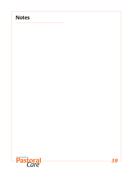## **Notes**